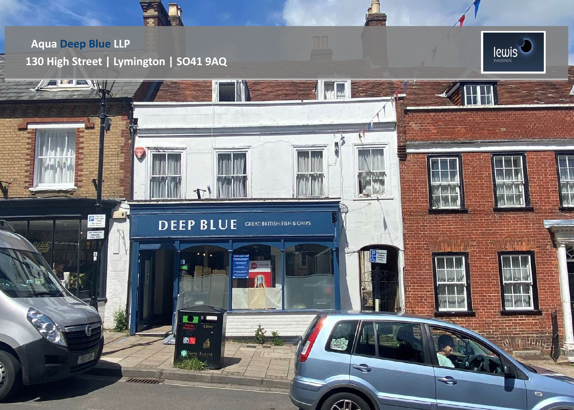# **Aqua Deep Blue LLP 130 High Street | Lymington | SO41 9AQ**



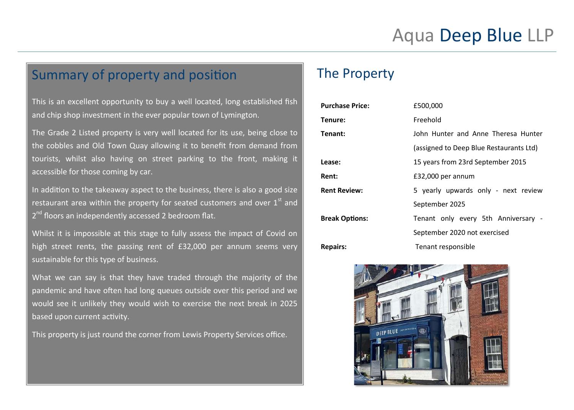# Summary of property and position

This is an excellent opportunity to buy a well located, long established fish and chip shop investment in the ever popular town of Lymington.

The Grade 2 Listed property is very well located for its use, being close to the cobbles and Old Town Quay allowing it to benefit from demand from tourists, whilst also having on street parking to the front, making it accessible for those coming by car.

In addition to the takeaway aspect to the business, there is also a good size restaurant area within the property for seated customers and over  $1<sup>st</sup>$  and 2<sup>nd</sup> floors an independently accessed 2 bedroom flat.

Whilst it is impossible at this stage to fully assess the impact of Covid on high street rents, the passing rent of £32,000 per annum seems very sustainable for this type of business.

What we can say is that they have traded through the majority of the pandemic and have often had long queues outside over this period and we would see it unlikely they would wish to exercise the next break in 2025 based upon current activity.

This property is just round the corner from Lewis Property Services office.

# The Property

| <b>Purchase Price:</b> | £500,000                                |
|------------------------|-----------------------------------------|
| Tenure:                | Freehold                                |
| Tenant:                | John Hunter and Anne Theresa Hunter     |
|                        | (assigned to Deep Blue Restaurants Ltd) |
| Lease:                 | 15 years from 23rd September 2015       |
| Rent:                  | £32,000 per annum                       |
| <b>Rent Review:</b>    | 5 yearly upwards only - next review     |
|                        | September 2025                          |
| <b>Break Options:</b>  | Tenant only every 5th Anniversary -     |
|                        | September 2020 not exercised            |
| <b>Repairs:</b>        | Tenant responsible                      |

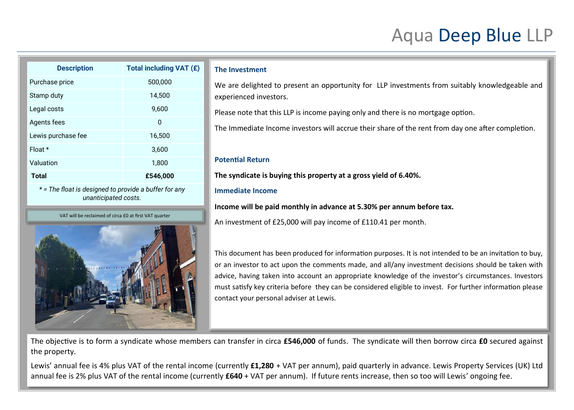# Aqua Deep Blue LLP

| <b>Description</b>                                                            | Total including VAT (£) |  |
|-------------------------------------------------------------------------------|-------------------------|--|
| Purchase price                                                                | 500,000                 |  |
| Stamp duty                                                                    | 14,500                  |  |
| Legal costs                                                                   | 9,600                   |  |
| Agents fees                                                                   | 0                       |  |
| Lewis purchase fee                                                            | 16,500                  |  |
| Float $*$                                                                     | 3,600                   |  |
| Valuation                                                                     | 1,800                   |  |
| Total                                                                         | £546,000                |  |
| * = The float is designed to provide a buffer for any<br>unanticipated costs. |                         |  |

## **The Investment**

We are delighted to present an opportunity for LLP investments from suitably knowledgeable and experienced investors.

Please note that this LLP is income paying only and there is no mortgage option.

The Immediate Income investors will accrue their share of the rent from day one after completion.

## **Potential Return**

**The syndicate is buying this property at a gross yield of 6.40%.** 

## **Immediate Income**

**Income will be paid monthly in advance at 5.30% per annum before tax.** 

An investment of £25,000 will pay income of £110.41 per month.

This document has been produced for information purposes. It is not intended to be an invitation to buy, or an investor to act upon the comments made, and all/any investment decisions should be taken with advice, having taken into account an appropriate knowledge of the investor's circumstances. Investors must satisfy key criteria before they can be considered eligible to invest. For further information please contact your personal adviser at Lewis.

The objective is to form a syndicate whose members can transfer in circa **£546,000** of funds. The syndicate will then borrow circa **£0** secured against the property.

Lewis' annual fee is 4% plus VAT of the rental income (currently **£1,280** + VAT per annum), paid quarterly in advance. Lewis Property Services (UK) Ltd annual fee is 2% plus VAT of the rental income (currently **£640** + VAT per annum). If future rents increase, then so too will Lewis' ongoing fee.